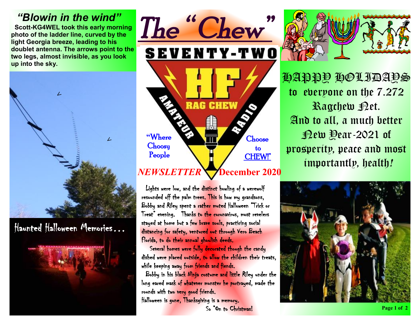### *"Blowin in the wind"*

 **Scott-KG4WEL took this early morning photo of the ladder line, curved by the light Georgia breeze, leading to his doublet antenna. The arrows point to the two legs, almost invisible, as you look up into the sky.** 



Haunted Halloween Memories…





 Lights were low, and the distinct howling of a werewolf resounded off the palm trees. This is how my grandsons, Bobby and Riley spent a rather muted Halloween "Trick or Treat" evening. Thanks to the coronavirus, most revelers stayed at home but a few brave souls, practicing social distancing for safety, ventured out through Vero Beach Florida, to do their annual ghoulish deeds.

 Several homes were fully decorated though the candy dished were placed outside, to allow the children their treats, while keeping away from friends and fiends.

 Bobby in his black Ninja costume and little Riley under the long eared mask of whatever monster he portrayed, made the rounds with two very good friends.

Halloween is gone, Thanksgiving is a memory. So "On to Christmas!



HAPPY HOLIDAYS to everyone on the 7.272 Ragchew Bet. And to all, a much better New Year-2021 of prosperity, peace and most importantly, health*!*

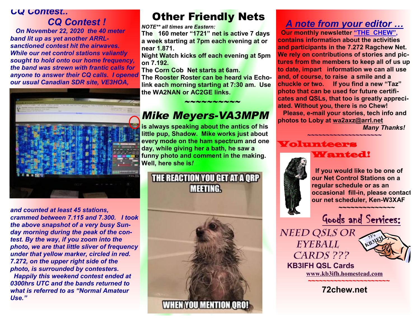#### *CQ Contest..*

# *CQ Contest !*

 *On November 22, 2020 the 40 meter band lit up as yet another ARRLsanctioned contest hit the airwaves. While our net control stations valiantly sought to hold onto our home frequency, the band was strewn with frantic calls for anyone to answer their CQ calls. I opened our usual Canadian SDR site, VE3HOA,* 



*and counted at least 45 stations, crammed between 7.115 and 7.300. I took the above snapshot of a very busy Sunday morning during the peak of the contest. By the way, if you zoom into the photo, we are that little sliver of frequency under that yellow marker, circled in red. 7.272, on the upper right side of the photo, is surrounded by contesters. Happily this weekend contest ended at 0300hrs UTC and the bands returned to what is referred to as "Normal Amateur Use."* 

# **Other Friendly Nets**

*NOTE\*\* all times are Eastern:* 

**The 160 meter "1721" net is active 7 days a week starting at 7pm each evening at or near 1.871.** 

**Night Watch kicks off each evening at 5pm on 7.192.** 

**The Corn Cob Net starts at 6am.** 

**The Rooster Roster can be heard via Echolink each morning starting at 7:30 am. Use the WA2NAN or AC2GE links.** 

 $\sim$   $\sim$   $\sim$   $\sim$   $\sim$   $\sim$   $\sim$ 

# *Mike Meyers-VA3MPM*

**is always speaking about the antics of his little pup, Shadow. Mike works just about every mode on the ham spectrum and one day, while giving her a bath, he saw a funny photo and comment in the making. Well, here she is***!*

THE REACTION YOU GET AT A QRP **MEETING** 



#### *A note from your editor …*

 **Our monthly newsletter "THE CHEW", contains information about the activities and participants in the 7.272 Ragchew Net. We rely on contributions of stories and pictures from the members to keep all of us up to date, impart information we can all use and, of course, to raise a smile and a chuckle or two. If you find a new "Taz" photo that can be used for future certificates and QSLs, that too is greatly appreciated. Without you, there is no Chew! Please, e-mail your stories, tech info and photos to Loby at [wa2axz@arrl.net](mailto:wa2axz@arrl.net)** 

*Many Thanks!* 

#### **~~~~~~~~~~~~~~~~~~~~** Volunteers Wanted!



 **If you would like to be one of our Net Control Stations on a regular schedule or as an occasional fill-in, please contact our net scheduler, Ken-W3XAF**

Goods and Services:

*Need QSLs or Eyeball Cards ???* 



 **KB3IFH QSL Cards [www.kb3ifh.homestead.com](http://www.kb3ifh.homestead.com) ~~~~~~~~~~~~~~~~~~~~~~** 

**72chew.net**